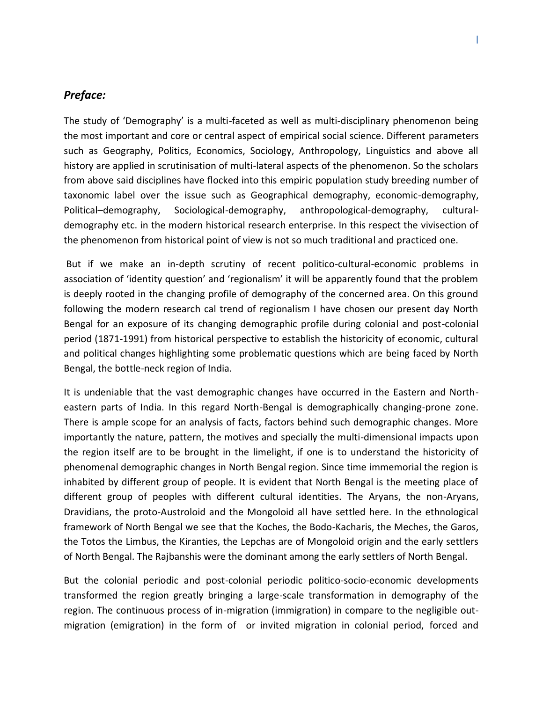## *Preface:*

The study of 'Demography' is a multi-faceted as well as multi-disciplinary phenomenon being the most important and core or central aspect of empirical social science. Different parameters such as Geography, Politics, Economics, Sociology, Anthropology, Linguistics and above all history are applied in scrutinisation of multi-lateral aspects of the phenomenon. So the scholars from above said disciplines have flocked into this empiric population study breeding number of taxonomic label over the issue such as Geographical demography, economic-demography, Political–demography, Sociological-demography, anthropological-demography, culturaldemography etc. in the modern historical research enterprise. In this respect the vivisection of the phenomenon from historical point of view is not so much traditional and practiced one.

But if we make an in-depth scrutiny of recent politico-cultural-economic problems in association of 'identity question' and 'regionalism' it will be apparently found that the problem is deeply rooted in the changing profile of demography of the concerned area. On this ground following the modern research cal trend of regionalism I have chosen our present day North Bengal for an exposure of its changing demographic profile during colonial and post-colonial period (1871-1991) from historical perspective to establish the historicity of economic, cultural and political changes highlighting some problematic questions which are being faced by North Bengal, the bottle-neck region of India.

It is undeniable that the vast demographic changes have occurred in the Eastern and Northeastern parts of India. In this regard North-Bengal is demographically changing-prone zone. There is ample scope for an analysis of facts, factors behind such demographic changes. More importantly the nature, pattern, the motives and specially the multi-dimensional impacts upon the region itself are to be brought in the limelight, if one is to understand the historicity of phenomenal demographic changes in North Bengal region. Since time immemorial the region is inhabited by different group of people. It is evident that North Bengal is the meeting place of different group of peoples with different cultural identities. The Aryans, the non-Aryans, Dravidians, the proto-Austroloid and the Mongoloid all have settled here. In the ethnological framework of North Bengal we see that the Koches, the Bodo-Kacharis, the Meches, the Garos, the Totos the Limbus, the Kiranties, the Lepchas are of Mongoloid origin and the early settlers of North Bengal. The Rajbanshis were the dominant among the early settlers of North Bengal.

But the colonial periodic and post-colonial periodic politico-socio-economic developments transformed the region greatly bringing a large-scale transformation in demography of the region. The continuous process of in-migration (immigration) in compare to the negligible outmigration (emigration) in the form of or invited migration in colonial period, forced and